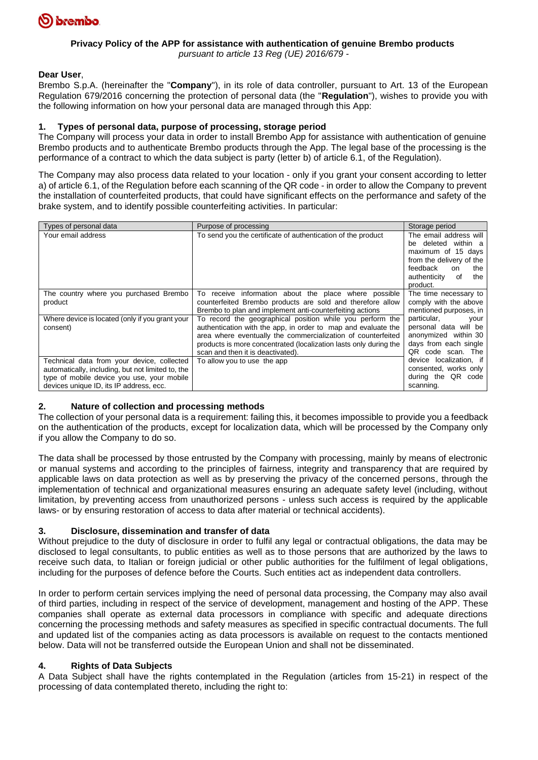

#### **Privacy Policy of the APP for assistance with authentication of genuine Brembo products** *pursuant to article 13 Reg (UE) 2016/679 -*

## **Dear User**,

Brembo S.p.A. (hereinafter the "**Company**"), in its role of data controller, pursuant to Art. 13 of the European Regulation 679/2016 concerning the protection of personal data (the "**Regulation**"), wishes to provide you with the following information on how your personal data are managed through this App:

#### **1. Types of personal data, purpose of processing, storage period**

The Company will process your data in order to install Brembo App for assistance with authentication of genuine Brembo products and to authenticate Brembo products through the App. The legal base of the processing is the performance of a contract to which the data subject is party (letter b) of article 6.1, of the Regulation).

The Company may also process data related to your location - only if you grant your consent according to letter a) of article 6.1, of the Regulation before each scanning of the QR code - in order to allow the Company to prevent the installation of counterfeited products, that could have significant effects on the performance and safety of the brake system, and to identify possible counterfeiting activities. In particular:

| Types of personal data                                                                                                                                                                   | Purpose of processing                                                                                                                                                                                                                                                                                | Storage period                                                                                                                                                    |
|------------------------------------------------------------------------------------------------------------------------------------------------------------------------------------------|------------------------------------------------------------------------------------------------------------------------------------------------------------------------------------------------------------------------------------------------------------------------------------------------------|-------------------------------------------------------------------------------------------------------------------------------------------------------------------|
| Your email address                                                                                                                                                                       | To send you the certificate of authentication of the product                                                                                                                                                                                                                                         | The email address will<br>deleted within a<br>be<br>maximum of 15 days<br>from the delivery of the<br>feedback<br>on<br>the<br>authenticity of<br>the<br>product. |
| The country where you purchased Brembo<br>product                                                                                                                                        | To receive information about the place where<br>possible<br>counterfeited Brembo products are sold and therefore allow<br>Brembo to plan and implement anti-counterfeiting actions                                                                                                                   | The time necessary to<br>comply with the above<br>mentioned purposes, in                                                                                          |
| Where device is located (only if you grant your<br>consent)                                                                                                                              | To record the geographical position while you perform the<br>authentication with the app, in order to map and evaluate the<br>area where eventually the commercialization of counterfeited<br>products is more concentrated (localization lasts only during the<br>scan and then it is deactivated). | particular,<br>your<br>personal data will be<br>anonymized within 30<br>days from each single<br>QR code scan. The                                                |
| Technical data from your device, collected<br>automatically, including, but not limited to, the<br>type of mobile device you use, your mobile<br>devices unique ID, its IP address, ecc. | To allow you to use the app                                                                                                                                                                                                                                                                          | device localization, if<br>consented, works only<br>during the QR code<br>scanning.                                                                               |

#### **2. Nature of collection and processing methods**

The collection of your personal data is a requirement: failing this, it becomes impossible to provide you a feedback on the authentication of the products, except for localization data, which will be processed by the Company only if you allow the Company to do so.

The data shall be processed by those entrusted by the Company with processing, mainly by means of electronic or manual systems and according to the principles of fairness, integrity and transparency that are required by applicable laws on data protection as well as by preserving the privacy of the concerned persons, through the implementation of technical and organizational measures ensuring an adequate safety level (including, without limitation, by preventing access from unauthorized persons - unless such access is required by the applicable laws- or by ensuring restoration of access to data after material or technical accidents).

#### **3. Disclosure, dissemination and transfer of data**

Without prejudice to the duty of disclosure in order to fulfil any legal or contractual obligations, the data may be disclosed to legal consultants, to public entities as well as to those persons that are authorized by the laws to receive such data, to Italian or foreign judicial or other public authorities for the fulfilment of legal obligations, including for the purposes of defence before the Courts. Such entities act as independent data controllers.

In order to perform certain services implying the need of personal data processing, the Company may also avail of third parties, including in respect of the service of development, management and hosting of the APP. These companies shall operate as external data processors in compliance with specific and adequate directions concerning the processing methods and safety measures as specified in specific contractual documents. The full and updated list of the companies acting as data processors is available on request to the contacts mentioned below. Data will not be transferred outside the European Union and shall not be disseminated.

## **4. Rights of Data Subjects**

A Data Subject shall have the rights contemplated in the Regulation (articles from 15-21) in respect of the processing of data contemplated thereto, including the right to: